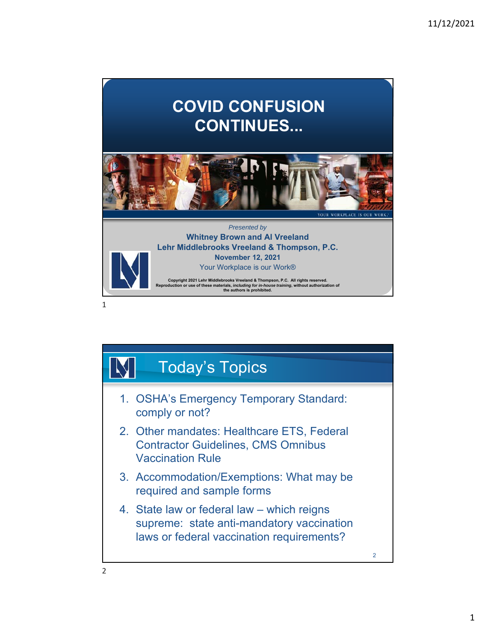# **COVID CONFUSION CONTINUES...**



### *Presented by* **Whitney Brown and Al Vreeland Lehr Middlebrooks Vreeland & Thompson, P.C. November 12, 2021**

Your Workplace is our Work®

Copyright 2021 Lehr Middlebrooks Vreeland & Thompson, P.C. All rights reserved.<br>Reproduction or use of these materials, *including for in-house training*, without authorization of<br>the authors is prohibited.

1

## Today's Topics 1. OSHA's Emergency Temporary Standard: comply or not? 2. Other mandates: Healthcare ETS, Federal Contractor Guidelines, CMS Omnibus Vaccination Rule 3. Accommodation/Exemptions: What may be required and sample forms 4. State law or federal law – which reigns supreme: state anti-mandatory vaccination laws or federal vaccination requirements? 2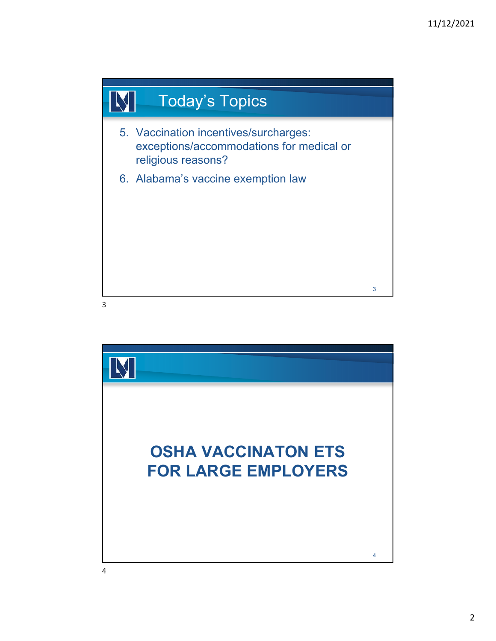

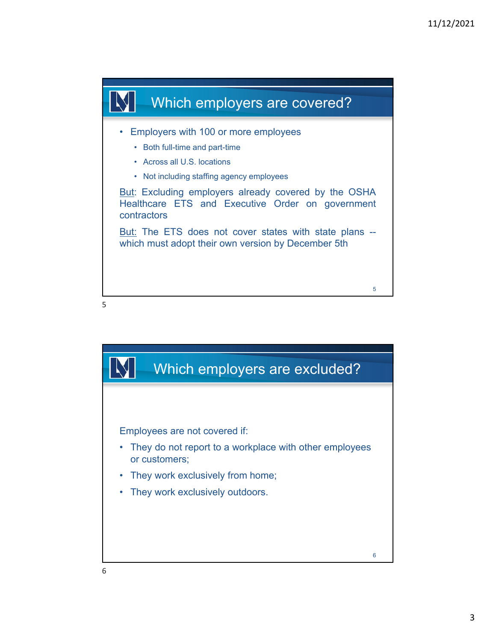

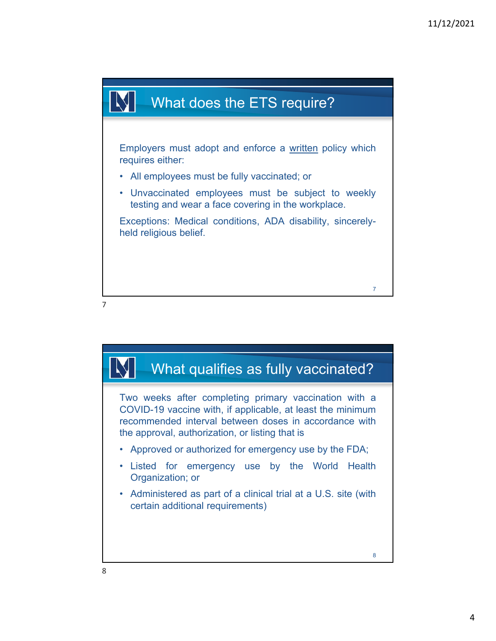



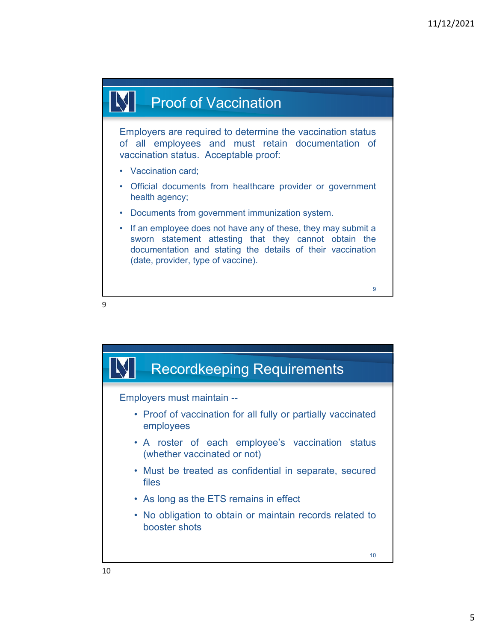## **Proof of Vaccination**

Employers are required to determine the vaccination status of all employees and must retain documentation of vaccination status. Acceptable proof:

- Vaccination card;
- Official documents from healthcare provider or government health agency;
- Documents from government immunization system.
- If an employee does not have any of these, they may submit a sworn statement attesting that they cannot obtain the documentation and stating the details of their vaccination (date, provider, type of vaccine).

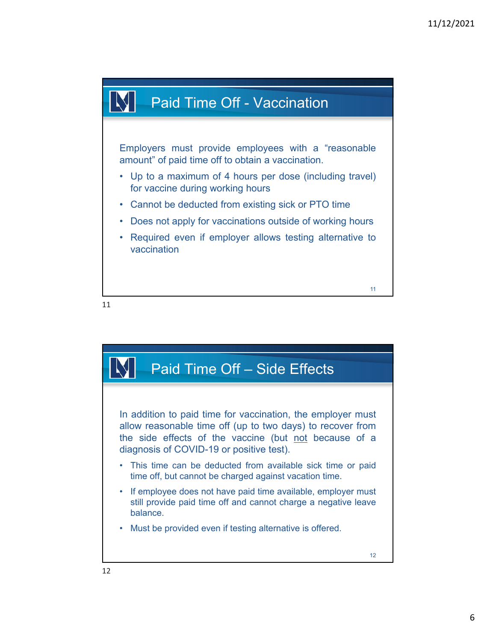

Employers must provide employees with a "reasonable amount" of paid time off to obtain a vaccination.

- Up to a maximum of 4 hours per dose (including travel) for vaccine during working hours
- Cannot be deducted from existing sick or PTO time
- Does not apply for vaccinations outside of working hours
- Required even if employer allows testing alternative to vaccination



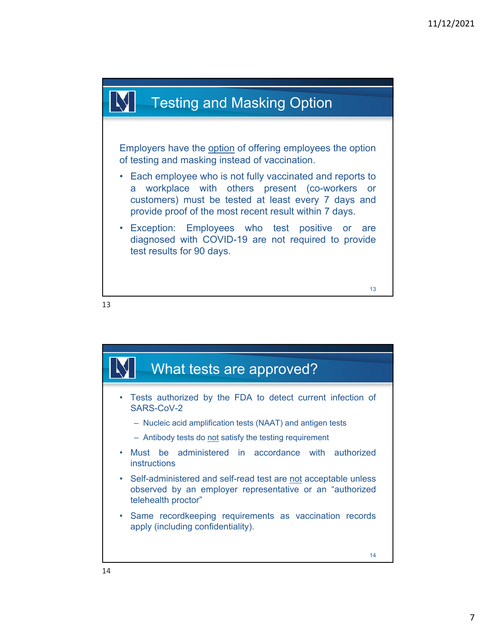## Testing and Masking Option

Employers have the option of offering employees the option of testing and masking instead of vaccination.

- Each employee who is not fully vaccinated and reports to a workplace with others present (co-workers or customers) must be tested at least every 7 days and provide proof of the most recent result within 7 days.
- Exception: Employees who test positive or are diagnosed with COVID-19 are not required to provide test results for 90 days.

13

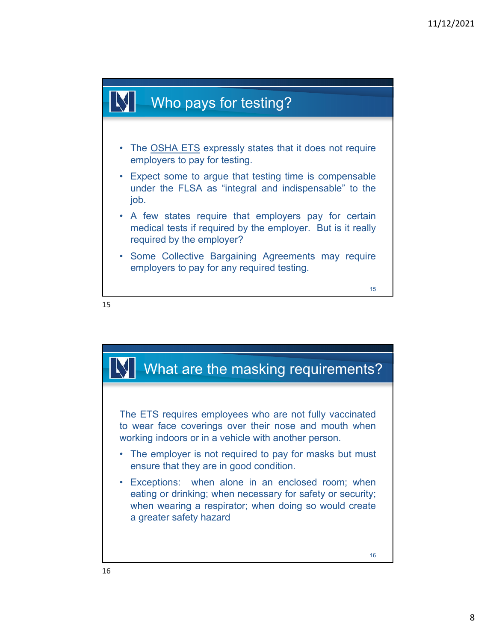

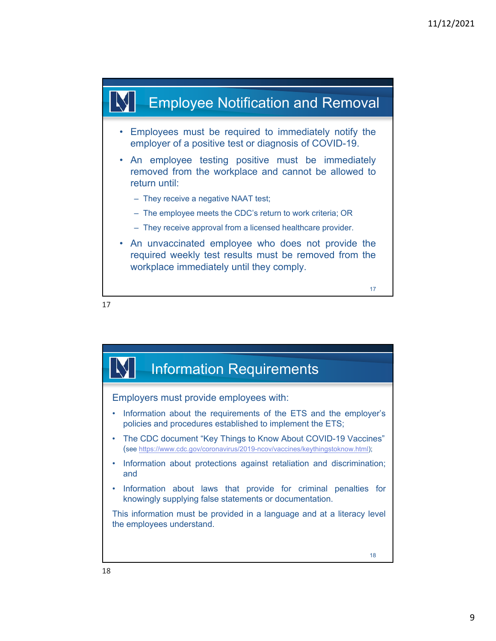

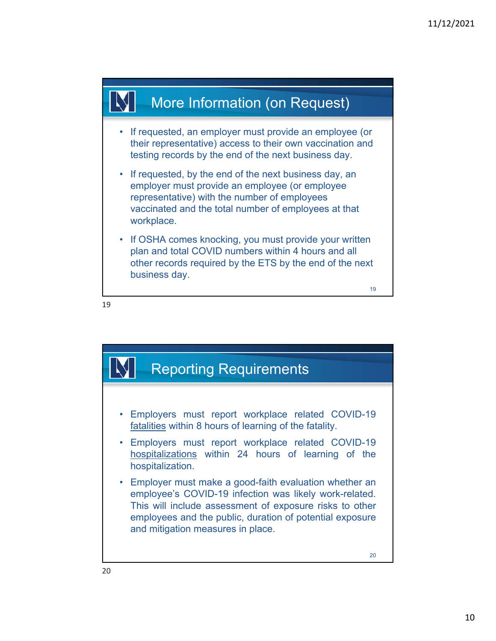

- If requested, an employer must provide an employee (or their representative) access to their own vaccination and testing records by the end of the next business day.
- If requested, by the end of the next business day, an employer must provide an employee (or employee representative) with the number of employees vaccinated and the total number of employees at that workplace.
- If OSHA comes knocking, you must provide your written plan and total COVID numbers within 4 hours and all other records required by the ETS by the end of the next business day.



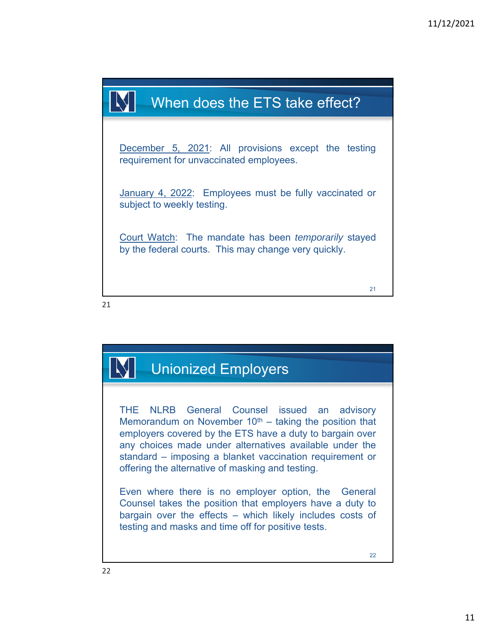

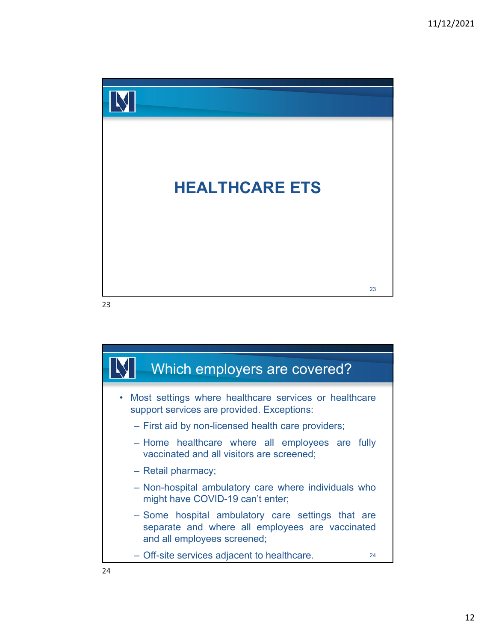

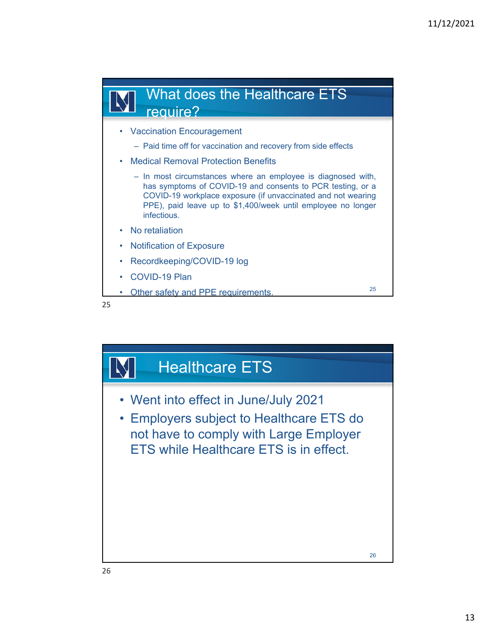

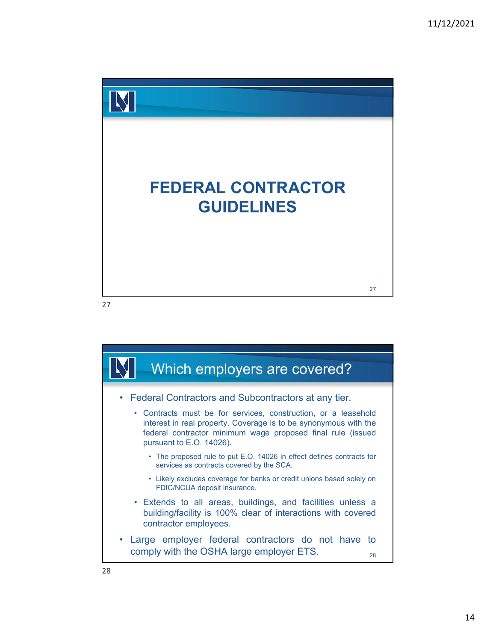

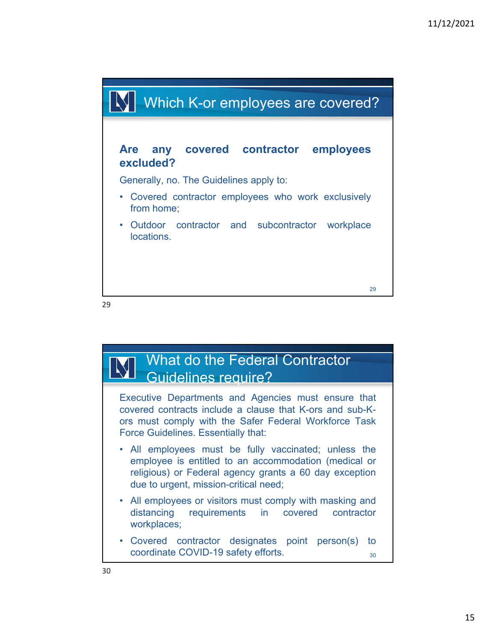

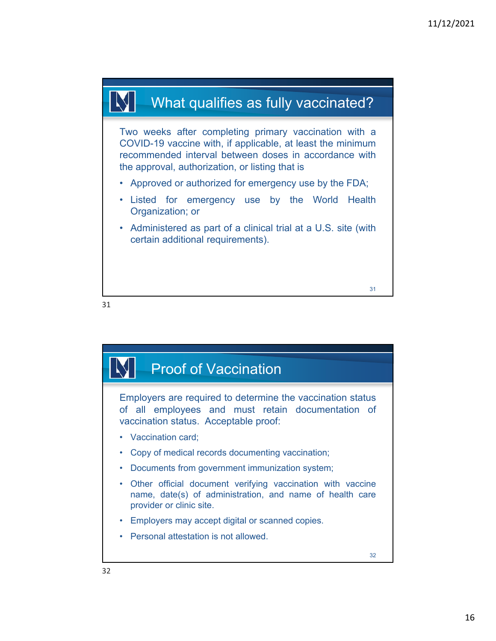

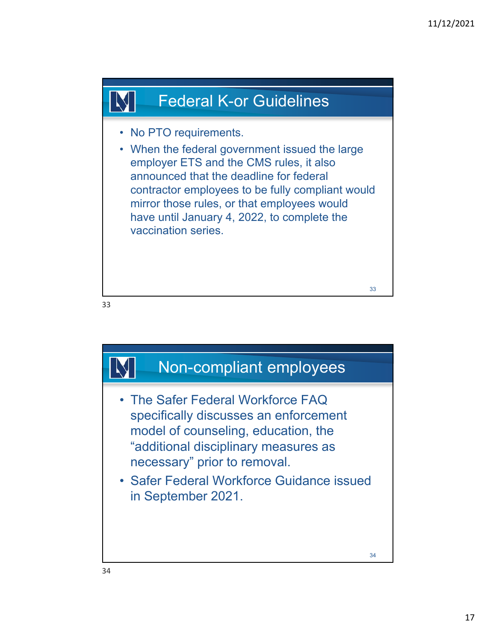

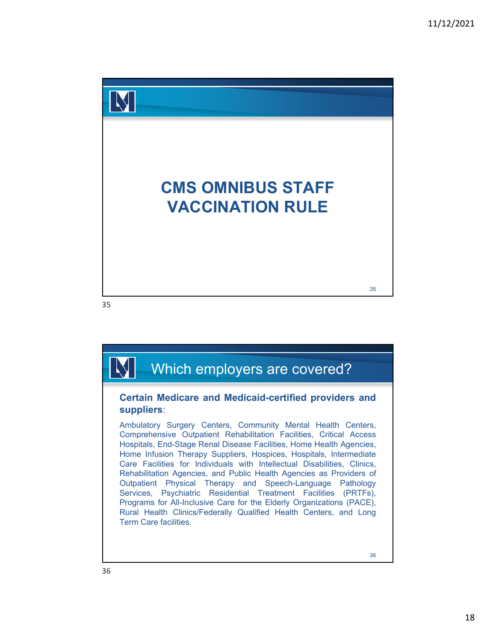

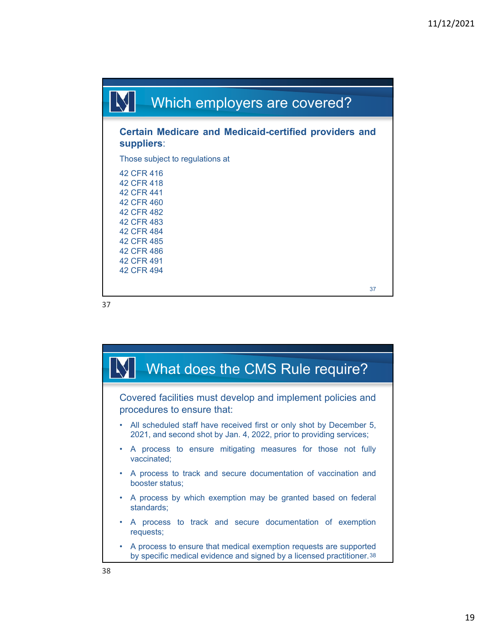

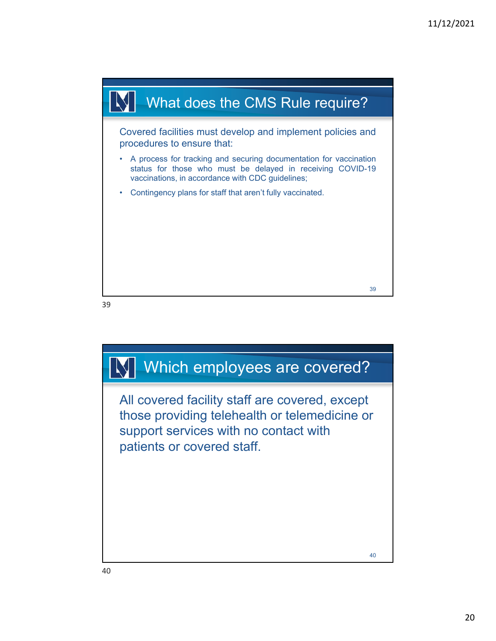

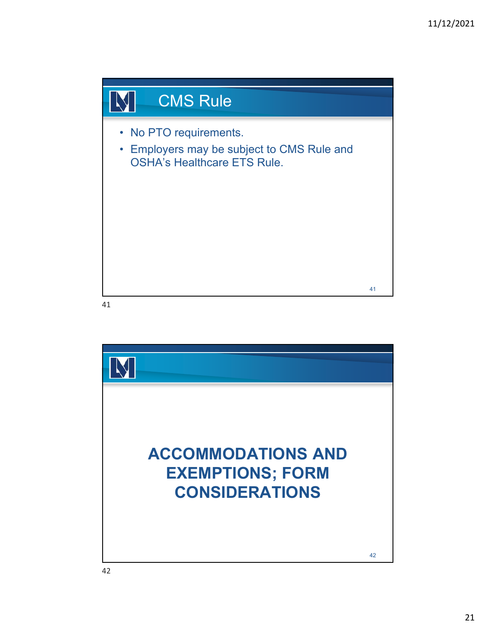

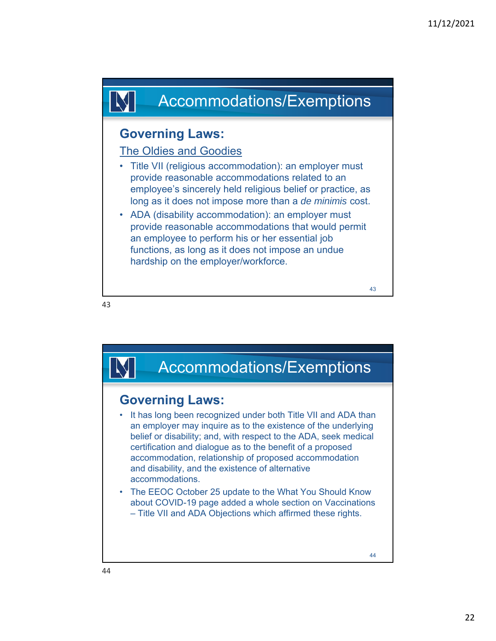

## **Governing Laws:**

### The Oldies and Goodies

- Title VII (religious accommodation): an employer must provide reasonable accommodations related to an employee's sincerely held religious belief or practice, as long as it does not impose more than a *de minimis* cost.
- ADA (disability accommodation): an employer must provide reasonable accommodations that would permit an employee to perform his or her essential job functions, as long as it does not impose an undue hardship on the employer/workforce.

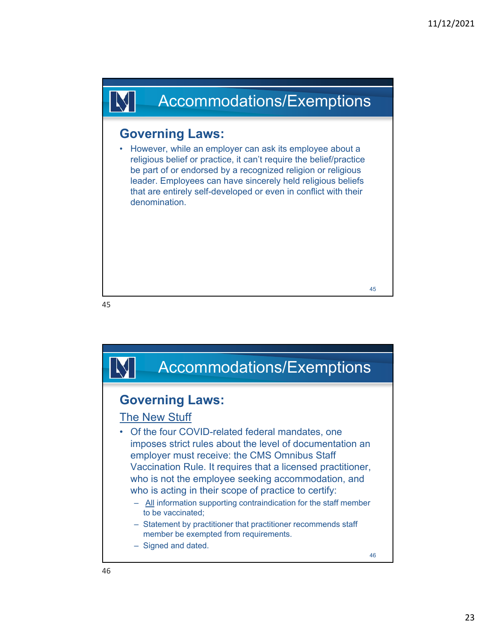# Accommodations/Exemptions

## **Governing Laws:**

• However, while an employer can ask its employee about a religious belief or practice, it can't require the belief/practice be part of or endorsed by a recognized religion or religious leader. Employees can have sincerely held religious beliefs that are entirely self-developed or even in conflict with their denomination.

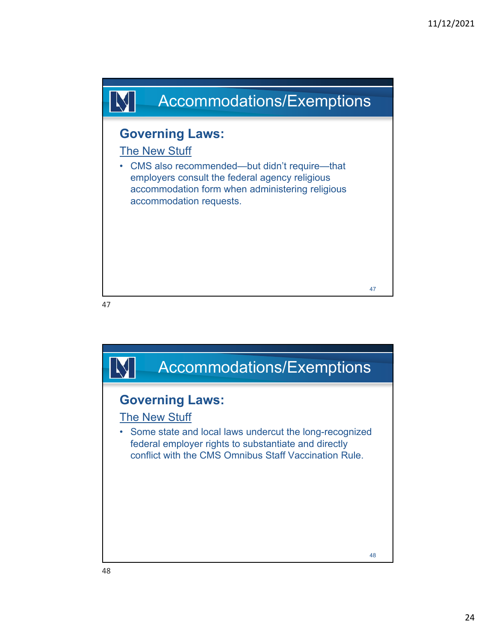

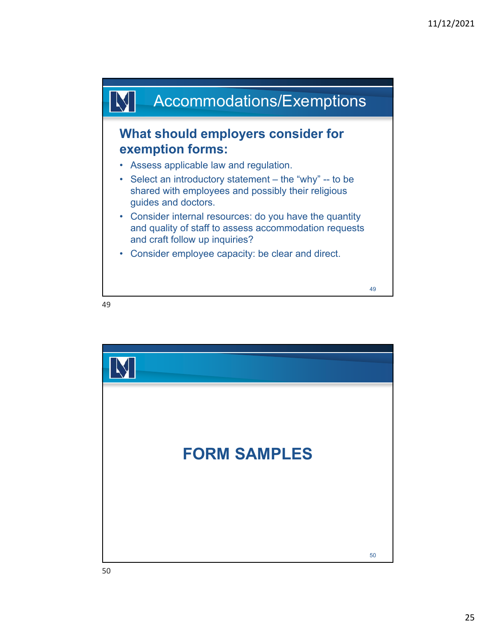

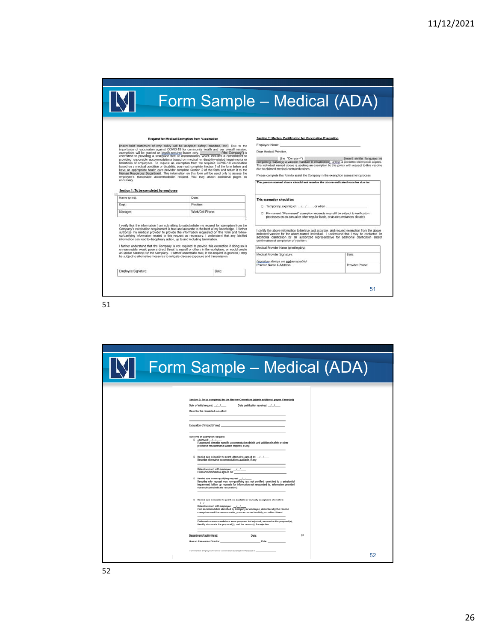| Form Sample - Medical (ADA) |  |  |
|-----------------------------|--|--|

#### Request for Medical Exemption from Vaccination

Illness their divergent for Medical Exemption from Vaccination<br>
Insect beid absenced of why points and be added from Vaccination<br>
constrained in the property of the state of the constrained by the state of the Company) is

#### Section 1: To be completed by employee

IN

| Name (print): | Date:            |
|---------------|------------------|
| Dept:         | Position:        |
| Manager.      | Work/Cell Phone: |
|               |                  |

authorize my medical provider to provide the information requested on this form and follow-<br>up/clarifying information related to this request as necessary. I understand that any falsified<br>information can lead to disciplina

I further understand that the Company is not required to provide this exemption if doing so is<br>unreasonable, would pose a direct threat to myself or others in the workplace, or would create<br>an undue hardship for the Compan

 $\boxed{\text{Date}}$ 

Employee Signature

51

#### Section 2: Medical Certification for Vaccination Exemption

Employee Name: Dear Medical Provider,

 $\overbrace{\text{compeiling message (the "Conpany")}}{\text{Compeiling message (the\\ \text{The individual name and a force marked is established}, \underline{u}v \& \underline{s}}{\text{ or } \underline{u}v \& \underline{s}}}.$ 

Please complete this form to assist the Company in the exemption assessment process. The person named above should not receive the above-indicated vaccine due to:

| This exemption should be: |  |
|---------------------------|--|

- $\Box$  Temporary, expiring on:  $\frac{1}{2}$  /  $\Box$  or when
- D Permanent ("Permanent" exemption requests may still be subject to verification<br>processes on an annual or other regular basis, or as circumstances dictate).

I certify the above information to be true and accurate, and request exemption from the above-indicated vaccine for the above-named individual. I understand that I may be contacted for additional clarification by an autho

Medical Provider Name (print legibly):

| (signature stamps are no |  |  |
|--------------------------|--|--|
| Practice Name & Address  |  |  |

51

Date: Provider Phone:

| Form Sample - Medical (ADA)                                                                                                                                                                                                                                                                                                                                                                                                                                                                                                                                                                                                                                                                                                                                                                                                                                                                                                                                                                                                                                                                                                                                                                                                                                                                                                                                                                                                                                                                     |
|-------------------------------------------------------------------------------------------------------------------------------------------------------------------------------------------------------------------------------------------------------------------------------------------------------------------------------------------------------------------------------------------------------------------------------------------------------------------------------------------------------------------------------------------------------------------------------------------------------------------------------------------------------------------------------------------------------------------------------------------------------------------------------------------------------------------------------------------------------------------------------------------------------------------------------------------------------------------------------------------------------------------------------------------------------------------------------------------------------------------------------------------------------------------------------------------------------------------------------------------------------------------------------------------------------------------------------------------------------------------------------------------------------------------------------------------------------------------------------------------------|
| Section 3: To be completed by the Review Committee (attach additional pages if needed)<br>Date certification received: / /<br>Date of initial request: //<br>Describe the requested exception:<br>Evaluation of impact (if any):<br>Outcome of Exemption Request:<br>C Approved: / /<br>If approved, describe specific accommodation details and additional safety or other<br>protective measures that will be required, if any:<br>C Denied due to inability to grant; alternative agreed on: //<br>Describe alternative accommodations available. if any:<br>Date discussed with employee: __/__/____<br>Final accommodation agreed on:<br>C Denied due to non-qualifying request / /<br>Describe why request was non-qualifying (ex: not certified, unrelated to a substantial<br>impairment. follow up requests for information not responded to, information provided<br>does not contraindicate vaccination):<br>C Denied due to inability to grant; no available or mutually acceptable alternative:<br>$\overline{1}$<br>Date discussed with employee: _/ / /<br>If no accommodation identified by Company or employee, describe why the vaccine<br>exemption would be unreasonable, pose an undue hardship, or a direct threat:<br>If alternative accommodations were proposed but rejected, summarize the proposal(s),<br>identify who made the proposal(s), and the reason(s) for rejection.<br>$\Box$<br>Confidential Employee Medical Vaccination Exemption Request of ____<br>52 |
|                                                                                                                                                                                                                                                                                                                                                                                                                                                                                                                                                                                                                                                                                                                                                                                                                                                                                                                                                                                                                                                                                                                                                                                                                                                                                                                                                                                                                                                                                                 |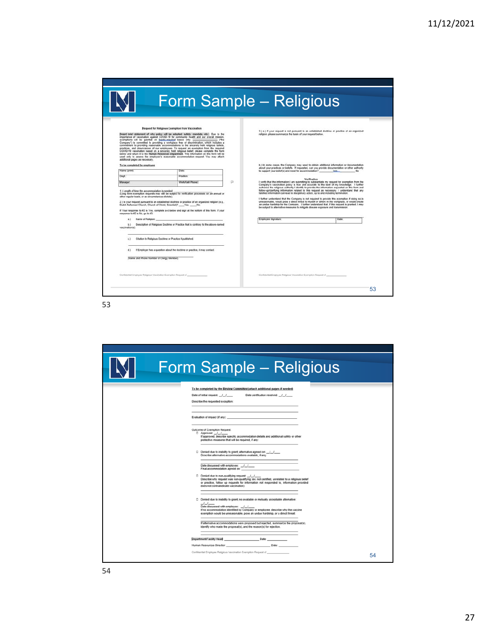|                                                                                                                                                                 |                                                                                                                                                                                                                                                                                                                                                                                                                                                                                                                                                                                                                                                                                                                                                                                                                                                                                |   | Form Sample - Religious                                                                                                                                                                                                                                                                                                                                                                                                                                                           |       |  |
|-----------------------------------------------------------------------------------------------------------------------------------------------------------------|--------------------------------------------------------------------------------------------------------------------------------------------------------------------------------------------------------------------------------------------------------------------------------------------------------------------------------------------------------------------------------------------------------------------------------------------------------------------------------------------------------------------------------------------------------------------------------------------------------------------------------------------------------------------------------------------------------------------------------------------------------------------------------------------------------------------------------------------------------------------------------|---|-----------------------------------------------------------------------------------------------------------------------------------------------------------------------------------------------------------------------------------------------------------------------------------------------------------------------------------------------------------------------------------------------------------------------------------------------------------------------------------|-------|--|
| additional papes as necessary.                                                                                                                                  | Request for Religious Exemption from Vaccination<br>[Insert brief statement of why policy will be adopted: safety, mandate, etc.]. Due to the<br>importance of vaccination against COVID-19 for community health and our overall mission.<br>exemptions will be granted on legally-maximal bases only.<br>Company") is committed to providing a workplace free of discrimination, which includes a<br>commitment to providing reasonable accommodations to the sincerely held religious beliefs,<br>practices, and observances of our employees. To request an exemption from the required<br>COVID-19 vaccination based on a sincerely held religious belief, please complete the form<br>below and return it to the Human Resources Department. This information on this form will be<br>used only to assess the employee's reasonable accommodation request. You may attach |   | 3) a) if your request is not pursuant to an established doctrine or practice of an organized<br>religion, please summarize the basis of your request below.                                                                                                                                                                                                                                                                                                                       |       |  |
| To be completed by employee<br>Name (print):                                                                                                                    | Date:                                                                                                                                                                                                                                                                                                                                                                                                                                                                                                                                                                                                                                                                                                                                                                                                                                                                          |   | b.) In some cases, the Company may need to obtain additional information or documentation<br>about your practices or beliefs. If requested, can you provide documentation or other authority<br>to support your belief(s) and need for accommodation? Yes Yes                                                                                                                                                                                                                     | No    |  |
| Dept:                                                                                                                                                           | Position:                                                                                                                                                                                                                                                                                                                                                                                                                                                                                                                                                                                                                                                                                                                                                                                                                                                                      |   |                                                                                                                                                                                                                                                                                                                                                                                                                                                                                   |       |  |
| Manager                                                                                                                                                         | Work/Cell Phone:                                                                                                                                                                                                                                                                                                                                                                                                                                                                                                                                                                                                                                                                                                                                                                                                                                                               | o | Verification<br>I verify that the information I am submitting to substantiate my request for exemption from the<br>Company's vaccination policy is true and accurate to the best of my knowledge. I further                                                                                                                                                                                                                                                                       |       |  |
| other reqular basis, or as circumstances dictate).<br>Dutch Reformed Church, Church of Christ, Scientist(? ___ Yes. ____ No.<br>response to #2 is No. go to #3. | (Long ferm exemption requests may still be subject to verification processes on an annual or<br>2.) Is your request pursuant to an established doctrine or practice of an organized religion (e.g.,<br>If Your response to #2 is Yes, complete a-d below and sign at the bottom of this form. If your                                                                                                                                                                                                                                                                                                                                                                                                                                                                                                                                                                          |   | faisified information can lead to disciplinary action, up to and including termination.<br>I further understand that the Company is not required to provide this exemption if doing so is<br>unreasonable, would pose a drect threat to myself or others in the workplace, or would create<br>an undue hardship for the Company. I further understand that, if this request is granted. I may<br>be subject to alternative measures to mitigate disease exposure and transmission |       |  |
| Name of Religion:<br>$\mathbf{a}$                                                                                                                               |                                                                                                                                                                                                                                                                                                                                                                                                                                                                                                                                                                                                                                                                                                                                                                                                                                                                                |   | Employee Signature:                                                                                                                                                                                                                                                                                                                                                                                                                                                               | Date: |  |
| <b>BS</b><br>vaccination(s):                                                                                                                                    | Description of Religious Doctrine or Practice that is contrary to the above-named                                                                                                                                                                                                                                                                                                                                                                                                                                                                                                                                                                                                                                                                                                                                                                                              |   |                                                                                                                                                                                                                                                                                                                                                                                                                                                                                   |       |  |
|                                                                                                                                                                 | Citation to Religious Doctrine or Practice if published.                                                                                                                                                                                                                                                                                                                                                                                                                                                                                                                                                                                                                                                                                                                                                                                                                       |   |                                                                                                                                                                                                                                                                                                                                                                                                                                                                                   |       |  |
|                                                                                                                                                                 | If Employer has a question about the doctrine or practice, it may contact.                                                                                                                                                                                                                                                                                                                                                                                                                                                                                                                                                                                                                                                                                                                                                                                                     |   |                                                                                                                                                                                                                                                                                                                                                                                                                                                                                   |       |  |
| (Name and Phone Number of Clergy Member).                                                                                                                       |                                                                                                                                                                                                                                                                                                                                                                                                                                                                                                                                                                                                                                                                                                                                                                                                                                                                                |   |                                                                                                                                                                                                                                                                                                                                                                                                                                                                                   |       |  |
| Confidential Employee Religious Vaccination Exemption Request of                                                                                                |                                                                                                                                                                                                                                                                                                                                                                                                                                                                                                                                                                                                                                                                                                                                                                                                                                                                                |   | Confidential Employee Religious Vaccession Exemption Request of                                                                                                                                                                                                                                                                                                                                                                                                                   |       |  |
|                                                                                                                                                                 |                                                                                                                                                                                                                                                                                                                                                                                                                                                                                                                                                                                                                                                                                                                                                                                                                                                                                |   |                                                                                                                                                                                                                                                                                                                                                                                                                                                                                   |       |  |

| Form Sample - Religious                                                                                                                                                                                                                                                                                         |    |
|-----------------------------------------------------------------------------------------------------------------------------------------------------------------------------------------------------------------------------------------------------------------------------------------------------------------|----|
| To be completed by the Review Committee (attach additional pages if needed)<br>Date of initial request: / /<br>Date certification received: / /<br>Describe the requested exception:                                                                                                                            |    |
| Evaluation of impact (if any): contract of any and the state of any state of any state of any state of any state of any state of any state of any state of any state of any state of any state of any state of any state of an                                                                                  |    |
| Outcome of Exemption Request:<br>D Approved: //<br>If approved, describe specific accommodation details and additional safety or other<br>protective measures that will be required, if any:                                                                                                                    |    |
| D Denied due to inability to grant; alternative agreed on: _/_/___<br>Describe alternative accommodations available. If any:<br>Date discussed with employee: //                                                                                                                                                |    |
| Final accommodation agreed on:<br>D Denied due to non-qualifying request: ///<br>Describe why request was non-qualifying (ex: not certified, unrelated to a religious belief<br>or practice, follow up requests for information not responded to, information provided<br>does not contraindicate vaccination): |    |
| Denied due to inability to grant: no available or mutually acceptable alternative:<br>$-$<br>Date discussed with employee: //<br>If no accommodation identified by Company or employee, describe why the vaccine<br>exemption would be unreasonable, pose an undue hardship, or a direct threat:                |    |
| If alternative accommodations were proposed but rejected, summarize the proposal(s),<br>identify who made the proposal(s), and the reason(s) for rejection.                                                                                                                                                     |    |
|                                                                                                                                                                                                                                                                                                                 |    |
|                                                                                                                                                                                                                                                                                                                 |    |
| Confidential Employee Religious Vaccination Exemption Request of                                                                                                                                                                                                                                                | 54 |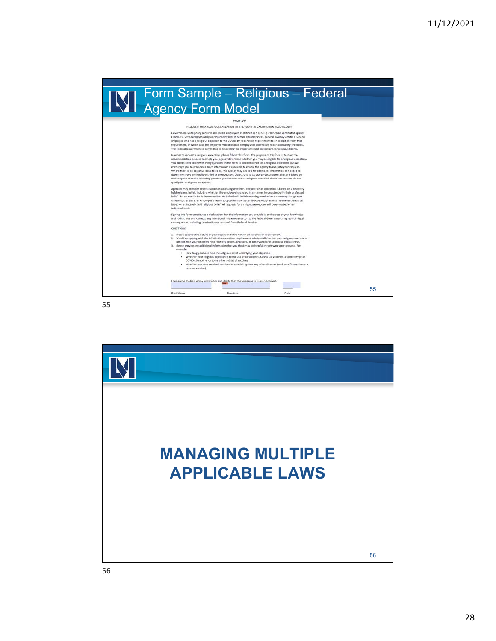## Form Sample – Religious – Federal Agency Form Model TEMPLATE REQUEST FOR A RELIGIOUS EXCEPTION TO THE COVID-19 VACCINATION REQUIREMENT REQUEST FOR A REUSIOUS EXCEPTION TO THE COVID-19 VACCINATION REQUIREMENT<br>Government-wide policy requires all Federal employees as defined in 5 U.S.C, § 1205 to be vaccinated against<br>COVID-19, with exceptions only as requir The Federal Government is committed to respect<br>the line important legal protections for religious liberty. <br> In order to request a religious computer propose , please fill out this form. The population<br>is accommodated pro quality for a religious esception.<br>Agenties may consider seweal factors in assessing whether a request for an exception is based on a sincerely<br>held religious belief, including whether the employee has acted in a manner i .<br>Signing this form constitutes a declaration that the information you provide is, to the best of your knowledge<br>and ability, true and correct. Any intentional mitrepresentation to the Federal Government may result in lega **OURSTIONS:** 1. Please describe the nature of your objection to the COVID-19 vaccination requirement.<br>2. Would complying with the COVID-19 vaccination requirement substancially burden your religious exercise or<br>conflict with your sinc sample:<br>• How long you have held the religious belief underlying your objection<br>• Whether your religious objection 11 to the use of all vaccines, COVID-19 vaccines, a specific type of<br>COVID-19 vaccine, or some other subset I declare to the best of my knowledge and ability that the foregoing is true and correct. **Contract** a pr 55 Print Name Signature Date

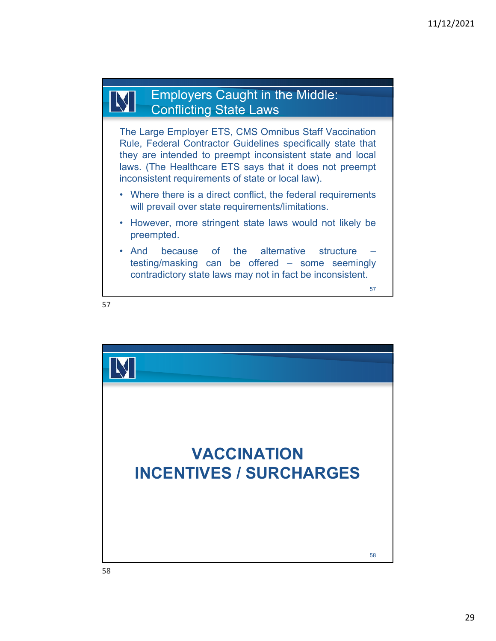### Employers Caught in the Middle: M Conflicting State Laws

The Large Employer ETS, CMS Omnibus Staff Vaccination Rule, Federal Contractor Guidelines specifically state that they are intended to preempt inconsistent state and local laws. (The Healthcare ETS says that it does not preempt inconsistent requirements of state or local law).

- Where there is a direct conflict, the federal requirements will prevail over state requirements/limitations.
- However, more stringent state laws would not likely be preempted.
- And because of the alternative structure testing/masking can be offered – some seemingly contradictory state laws may not in fact be inconsistent.



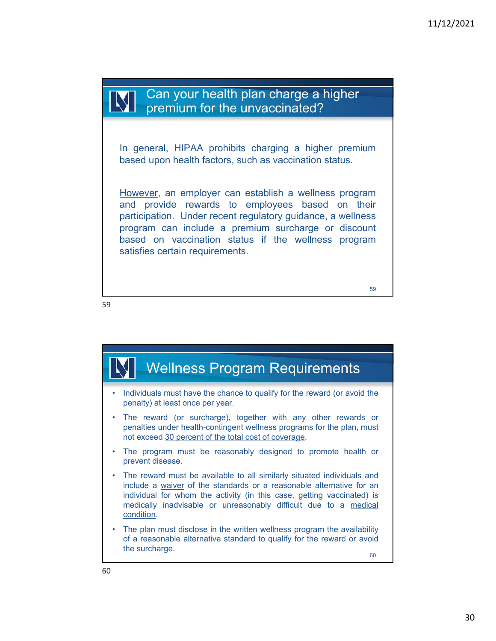Can your health plan charge a higher premium for the unvaccinated?

In general, HIPAA prohibits charging a higher premium based upon health factors, such as vaccination status.

However, an employer can establish a wellness program and provide rewards to employees based on their participation. Under recent regulatory guidance, a wellness program can include a premium surcharge or discount based on vaccination status if the wellness program satisfies certain requirements.

59

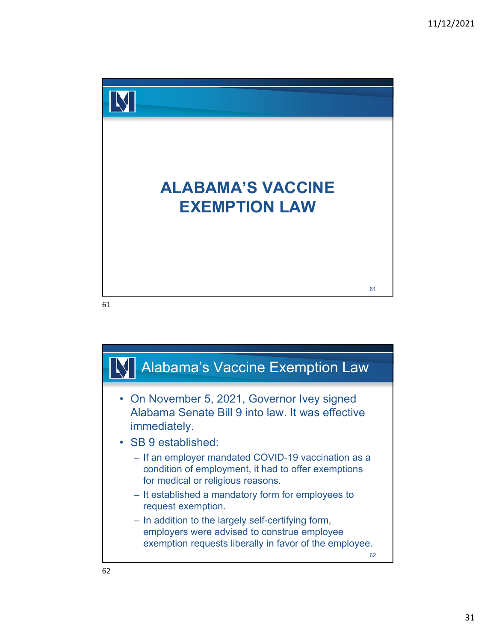

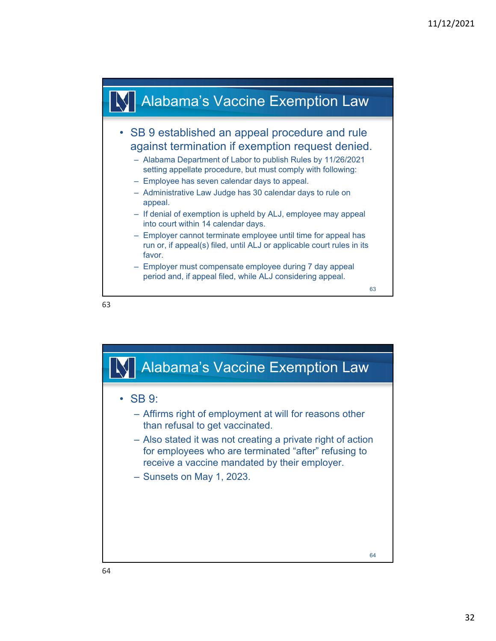

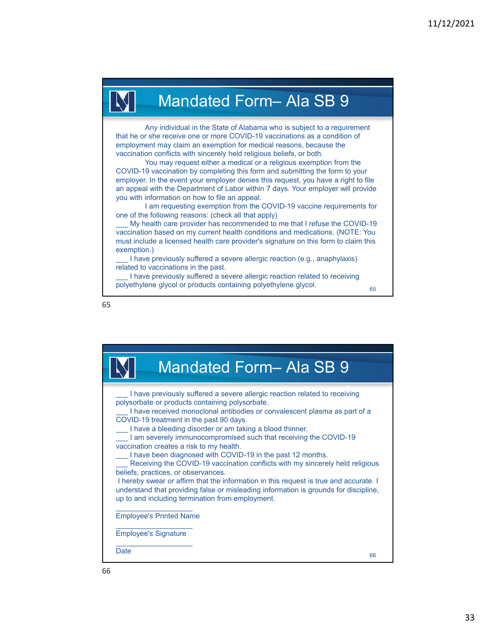# Mandated Form– Ala SB 9

Any individual in the State of Alabama who is subject to a requirement that he or she receive one or more COVID-19 vaccinations as a condition of employment may claim an exemption for medical reasons, because the vaccination conflicts with sincerely held religious beliefs, or both.

You may request either a medical or a religious exemption from the COVID-19 vaccination by completing this form and submitting the form to your employer. In the event your employer denies this request, you have a right to file an appeal with the Department of Labor within 7 days. Your employer will provide you with information on how to file an appeal.

I am requesting exemption from the COVID-19 vaccine requirements for one of the following reasons: (check all that apply)

My health care provider has recommended to me that I refuse the COVID-19 vaccination based on my current health conditions and medications. (NOTE: You must include a licensed health care provider's signature on this form to claim this exemption.)

I have previously suffered a severe allergic reaction (e.g., anaphylaxis) related to vaccinations in the past.

I have previously suffered a severe allergic reaction related to receiving polyethylene glycol or products containing polyethylene glycol.

65



| <b>Mandated Form- Ala SB 9</b>                                                                                                                                                                                                                                                                                                                                                                                                                                                                                                                                                                                                                                                                                                                                                                                                                               |    |
|--------------------------------------------------------------------------------------------------------------------------------------------------------------------------------------------------------------------------------------------------------------------------------------------------------------------------------------------------------------------------------------------------------------------------------------------------------------------------------------------------------------------------------------------------------------------------------------------------------------------------------------------------------------------------------------------------------------------------------------------------------------------------------------------------------------------------------------------------------------|----|
| I have previously suffered a severe allergic reaction related to receiving<br>polysorbate or products containing polysorbate.<br>I have received monoclonal antibodies or convalescent plasma as part of a<br>COVID-19 treatment in the past 90 days.<br>I have a bleeding disorder or am taking a blood thinner.<br>I am severely immunocompromised such that receiving the COVID-19<br>vaccination creates a risk to my health.<br>I have been diagnosed with COVID-19 in the past 12 months.<br>Receiving the COVID-19 vaccination conflicts with my sincerely held religious<br>beliefs, practices, or observances.<br>I hereby swear or affirm that the information in this request is true and accurate. I<br>understand that providing false or misleading information is grounds for discipline,<br>up to and including termination from employment. |    |
| <b>Employee's Printed Name</b>                                                                                                                                                                                                                                                                                                                                                                                                                                                                                                                                                                                                                                                                                                                                                                                                                               |    |
| <b>Employee's Signature</b>                                                                                                                                                                                                                                                                                                                                                                                                                                                                                                                                                                                                                                                                                                                                                                                                                                  |    |
| Date                                                                                                                                                                                                                                                                                                                                                                                                                                                                                                                                                                                                                                                                                                                                                                                                                                                         | 66 |